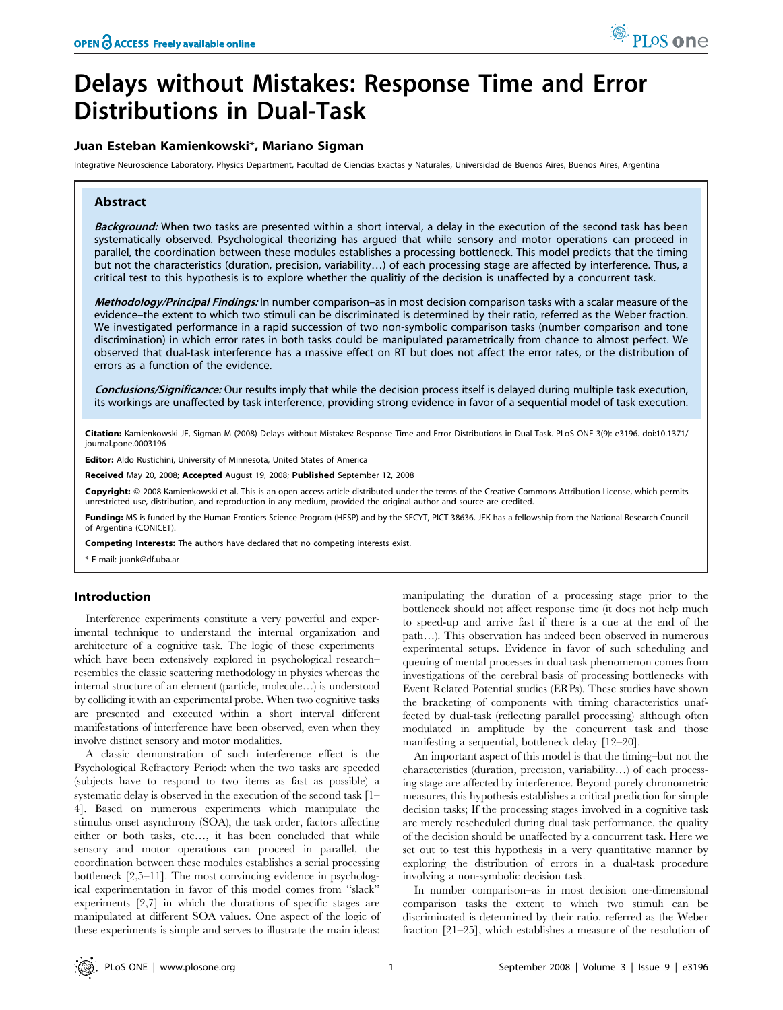# Delays without Mistakes: Response Time and Error Distributions in Dual-Task

# Juan Esteban Kamienkowski\*, Mariano Sigman

Integrative Neuroscience Laboratory, Physics Department, Facultad de Ciencias Exactas y Naturales, Universidad de Buenos Aires, Buenos Aires, Argentina

## Abstract

Background: When two tasks are presented within a short interval, a delay in the execution of the second task has been systematically observed. Psychological theorizing has argued that while sensory and motor operations can proceed in parallel, the coordination between these modules establishes a processing bottleneck. This model predicts that the timing but not the characteristics (duration, precision, variability…) of each processing stage are affected by interference. Thus, a critical test to this hypothesis is to explore whether the qualitiy of the decision is unaffected by a concurrent task.

Methodology/Principal Findings: In number comparison–as in most decision comparison tasks with a scalar measure of the evidence–the extent to which two stimuli can be discriminated is determined by their ratio, referred as the Weber fraction. We investigated performance in a rapid succession of two non-symbolic comparison tasks (number comparison and tone discrimination) in which error rates in both tasks could be manipulated parametrically from chance to almost perfect. We observed that dual-task interference has a massive effect on RT but does not affect the error rates, or the distribution of errors as a function of the evidence.

Conclusions/Significance: Our results imply that while the decision process itself is delayed during multiple task execution, its workings are unaffected by task interference, providing strong evidence in favor of a sequential model of task execution.

Citation: Kamienkowski JE, Sigman M (2008) Delays without Mistakes: Response Time and Error Distributions in Dual-Task. PLoS ONE 3(9): e3196. doi:10.1371/ journal.pone.0003196

Editor: Aldo Rustichini, University of Minnesota, United States of America

Received May 20, 2008; Accepted August 19, 2008; Published September 12, 2008

Copyright: © 2008 Kamienkowski et al. This is an open-access article distributed under the terms of the Creative Commons Attribution License, which permits unrestricted use, distribution, and reproduction in any medium, provided the original author and source are credited.

Funding: MS is funded by the Human Frontiers Science Program (HFSP) and by the SECYT, PICT 38636. JEK has a fellowship from the National Research Council of Argentina (CONICET).

Competing Interests: The authors have declared that no competing interests exist.

\* E-mail: juank@df.uba.ar

## Introduction

Interference experiments constitute a very powerful and experimental technique to understand the internal organization and architecture of a cognitive task. The logic of these experiments– which have been extensively explored in psychological research– resembles the classic scattering methodology in physics whereas the internal structure of an element (particle, molecule…) is understood by colliding it with an experimental probe. When two cognitive tasks are presented and executed within a short interval different manifestations of interference have been observed, even when they involve distinct sensory and motor modalities.

A classic demonstration of such interference effect is the Psychological Refractory Period: when the two tasks are speeded (subjects have to respond to two items as fast as possible) a systematic delay is observed in the execution of the second task [1– 4]. Based on numerous experiments which manipulate the stimulus onset asynchrony (SOA), the task order, factors affecting either or both tasks, etc…, it has been concluded that while sensory and motor operations can proceed in parallel, the coordination between these modules establishes a serial processing bottleneck [2,5–11]. The most convincing evidence in psychological experimentation in favor of this model comes from ''slack'' experiments [2,7] in which the durations of specific stages are manipulated at different SOA values. One aspect of the logic of these experiments is simple and serves to illustrate the main ideas:

manipulating the duration of a processing stage prior to the bottleneck should not affect response time (it does not help much to speed-up and arrive fast if there is a cue at the end of the path…). This observation has indeed been observed in numerous experimental setups. Evidence in favor of such scheduling and queuing of mental processes in dual task phenomenon comes from investigations of the cerebral basis of processing bottlenecks with Event Related Potential studies (ERPs). These studies have shown the bracketing of components with timing characteristics unaffected by dual-task (reflecting parallel processing)–although often modulated in amplitude by the concurrent task–and those manifesting a sequential, bottleneck delay [12–20].

An important aspect of this model is that the timing–but not the characteristics (duration, precision, variability…) of each processing stage are affected by interference. Beyond purely chronometric measures, this hypothesis establishes a critical prediction for simple decision tasks; If the processing stages involved in a cognitive task are merely rescheduled during dual task performance, the quality of the decision should be unaffected by a concurrent task. Here we set out to test this hypothesis in a very quantitative manner by exploring the distribution of errors in a dual-task procedure involving a non-symbolic decision task.

In number comparison–as in most decision one-dimensional comparison tasks–the extent to which two stimuli can be discriminated is determined by their ratio, referred as the Weber fraction [21–25], which establishes a measure of the resolution of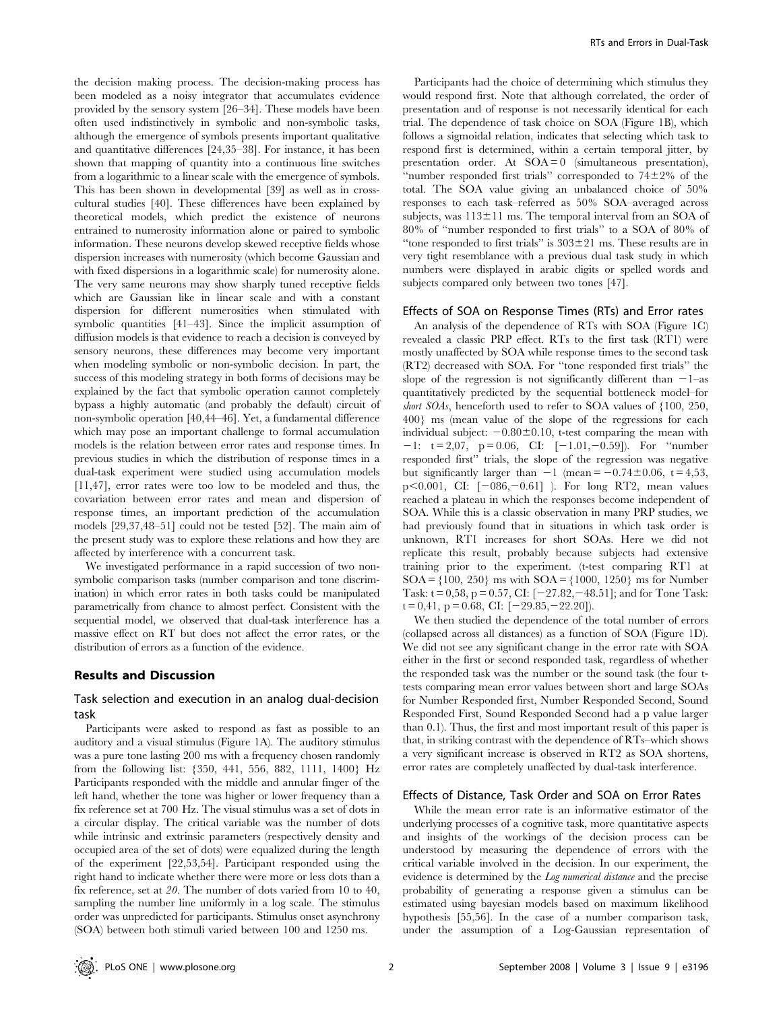the decision making process. The decision-making process has been modeled as a noisy integrator that accumulates evidence provided by the sensory system [26–34]. These models have been often used indistinctively in symbolic and non-symbolic tasks, although the emergence of symbols presents important qualitative and quantitative differences [24,35–38]. For instance, it has been shown that mapping of quantity into a continuous line switches from a logarithmic to a linear scale with the emergence of symbols. This has been shown in developmental [39] as well as in crosscultural studies [40]. These differences have been explained by theoretical models, which predict the existence of neurons entrained to numerosity information alone or paired to symbolic information. These neurons develop skewed receptive fields whose dispersion increases with numerosity (which become Gaussian and with fixed dispersions in a logarithmic scale) for numerosity alone. The very same neurons may show sharply tuned receptive fields which are Gaussian like in linear scale and with a constant dispersion for different numerosities when stimulated with symbolic quantities [41–43]. Since the implicit assumption of diffusion models is that evidence to reach a decision is conveyed by sensory neurons, these differences may become very important when modeling symbolic or non-symbolic decision. In part, the success of this modeling strategy in both forms of decisions may be explained by the fact that symbolic operation cannot completely bypass a highly automatic (and probably the default) circuit of non-symbolic operation [40,44–46]. Yet, a fundamental difference which may pose an important challenge to formal accumulation models is the relation between error rates and response times. In previous studies in which the distribution of response times in a dual-task experiment were studied using accumulation models [11,47], error rates were too low to be modeled and thus, the covariation between error rates and mean and dispersion of response times, an important prediction of the accumulation models [29,37,48–51] could not be tested [52]. The main aim of the present study was to explore these relations and how they are affected by interference with a concurrent task.

We investigated performance in a rapid succession of two nonsymbolic comparison tasks (number comparison and tone discrimination) in which error rates in both tasks could be manipulated parametrically from chance to almost perfect. Consistent with the sequential model, we observed that dual-task interference has a massive effect on RT but does not affect the error rates, or the distribution of errors as a function of the evidence.

## Results and Discussion

# Task selection and execution in an analog dual-decision task

Participants were asked to respond as fast as possible to an auditory and a visual stimulus (Figure 1A). The auditory stimulus was a pure tone lasting 200 ms with a frequency chosen randomly from the following list: {350, 441, 556, 882, 1111, 1400} Hz Participants responded with the middle and annular finger of the left hand, whether the tone was higher or lower frequency than a fix reference set at 700 Hz. The visual stimulus was a set of dots in a circular display. The critical variable was the number of dots while intrinsic and extrinsic parameters (respectively density and occupied area of the set of dots) were equalized during the length of the experiment [22,53,54]. Participant responded using the right hand to indicate whether there were more or less dots than a fix reference, set at 20. The number of dots varied from 10 to 40, sampling the number line uniformly in a log scale. The stimulus order was unpredicted for participants. Stimulus onset asynchrony (SOA) between both stimuli varied between 100 and 1250 ms.

Participants had the choice of determining which stimulus they would respond first. Note that although correlated, the order of presentation and of response is not necessarily identical for each trial. The dependence of task choice on SOA (Figure 1B), which follows a sigmoidal relation, indicates that selecting which task to respond first is determined, within a certain temporal jitter, by presentation order. At  $SOA = 0$  (simultaneous presentation), "number responded first trials" corresponded to  $74\pm2\%$  of the total. The SOA value giving an unbalanced choice of 50% responses to each task–referred as 50% SOA–averaged across subjects, was  $113\pm11$  ms. The temporal interval from an SOA of 80% of ''number responded to first trials'' to a SOA of 80% of "tone responded to first trials" is  $303\pm21$  ms. These results are in very tight resemblance with a previous dual task study in which numbers were displayed in arabic digits or spelled words and subjects compared only between two tones [47].

#### Effects of SOA on Response Times (RTs) and Error rates

An analysis of the dependence of RTs with SOA (Figure 1C) revealed a classic PRP effect. RTs to the first task (RT1) were mostly unaffected by SOA while response times to the second task (RT2) decreased with SOA. For ''tone responded first trials'' the slope of the regression is not significantly different than  $-1$ –as quantitatively predicted by the sequential bottleneck model–for short SOAs, henceforth used to refer to SOA values of  $\{100, 250,$ 400} ms (mean value of the slope of the regressions for each individual subject:  $-0.80\pm0.10$ , t-test comparing the mean with  $-1:$  t = 2,07, p = 0.06, CI:  $[-1.01, -0.59]$ . For "number responded first'' trials, the slope of the regression was negative but significantly larger than  $-1$  (mean  $= -0.74 \pm 0.06$ , t  $= 4,53$ , p $0.001$ , CI:  $[-086, -0.61]$  ). For long RT2, mean values reached a plateau in which the responses become independent of SOA. While this is a classic observation in many PRP studies, we had previously found that in situations in which task order is unknown, RT1 increases for short SOAs. Here we did not replicate this result, probably because subjects had extensive training prior to the experiment. (t-test comparing RT1 at  $SOA = \{100, 250\}$  ms with  $SOA = \{1000, 1250\}$  ms for Number Task:  $t = 0.58$ ,  $p = 0.57$ , CI:  $[-27.82, -48.51]$ ; and for Tone Task:  $t = 0.41$ ,  $p = 0.68$ , CI:  $[-29.85, -22.20]$ .

We then studied the dependence of the total number of errors (collapsed across all distances) as a function of SOA (Figure 1D). We did not see any significant change in the error rate with SOA either in the first or second responded task, regardless of whether the responded task was the number or the sound task (the four ttests comparing mean error values between short and large SOAs for Number Responded first, Number Responded Second, Sound Responded First, Sound Responded Second had a p value larger than 0.1). Thus, the first and most important result of this paper is that, in striking contrast with the dependence of RTs–which shows a very significant increase is observed in RT2 as SOA shortens, error rates are completely unaffected by dual-task interference.

#### Effects of Distance, Task Order and SOA on Error Rates

While the mean error rate is an informative estimator of the underlying processes of a cognitive task, more quantitative aspects and insights of the workings of the decision process can be understood by measuring the dependence of errors with the critical variable involved in the decision. In our experiment, the evidence is determined by the Log numerical distance and the precise probability of generating a response given a stimulus can be estimated using bayesian models based on maximum likelihood hypothesis [55,56]. In the case of a number comparison task, under the assumption of a Log-Gaussian representation of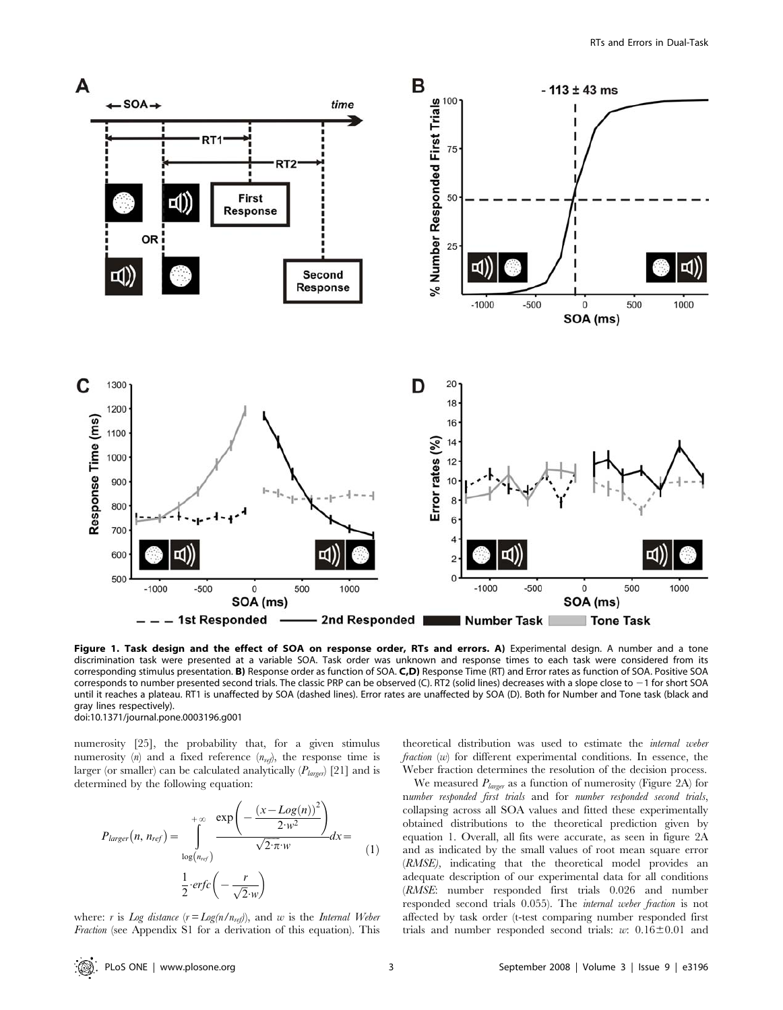

Figure 1. Task design and the effect of SOA on response order, RTs and errors. A) Experimental design. A number and a tone discrimination task were presented at a variable SOA. Task order was unknown and response times to each task were considered from its corresponding stimulus presentation. B) Response order as function of SOA. C,D) Response Time (RT) and Error rates as function of SOA. Positive SOA corresponds to number presented second trials. The classic PRP can be observed (C). RT2 (solid lines) decreases with a slope close to -1 for short SOA until it reaches a plateau. RT1 is unaffected by SOA (dashed lines). Error rates are unaffected by SOA (D). Both for Number and Tone task (black and gray lines respectively). doi:10.1371/journal.pone.0003196.g001

numerosity [25], the probability that, for a given stimulus numerosity (n) and a fixed reference  $(n_{ref})$ , the response time is larger (or smaller) can be calculated analytically  $(P_{\text{larger}})$  [21] and is determined by the following equation:

$$
P_{larger}(n, n_{ref}) = \int_{\log(n_{ref})}^{+\infty} \frac{\exp\left(-\frac{(x - Log(n))^2}{2 \cdot w^2}\right)}{\sqrt{2 \cdot \pi} \cdot w} dx =
$$
\n
$$
\frac{1}{2} \cdot \exp\left(-\frac{r}{\sqrt{2} \cdot w}\right)
$$
\n(1)

where: r is Log distance  $(r = Log(n/n_{ref}))$ , and w is the Internal Weber Fraction (see Appendix S1 for a derivation of this equation). This theoretical distribution was used to estimate the internal weber fraction (w) for different experimental conditions. In essence, the Weber fraction determines the resolution of the decision process.

We measured  $P_{\text{larger}}$  as a function of numerosity (Figure 2A) for number responded first trials and for number responded second trials, collapsing across all SOA values and fitted these experimentally obtained distributions to the theoretical prediction given by equation 1. Overall, all fits were accurate, as seen in figure 2A and as indicated by the small values of root mean square error (RMSE), indicating that the theoretical model provides an adequate description of our experimental data for all conditions (RMSE: number responded first trials 0.026 and number responded second trials 0.055). The internal weber fraction is not affected by task order (t-test comparing number responded first trials and number responded second trials: w:  $0.16 \pm 0.01$  and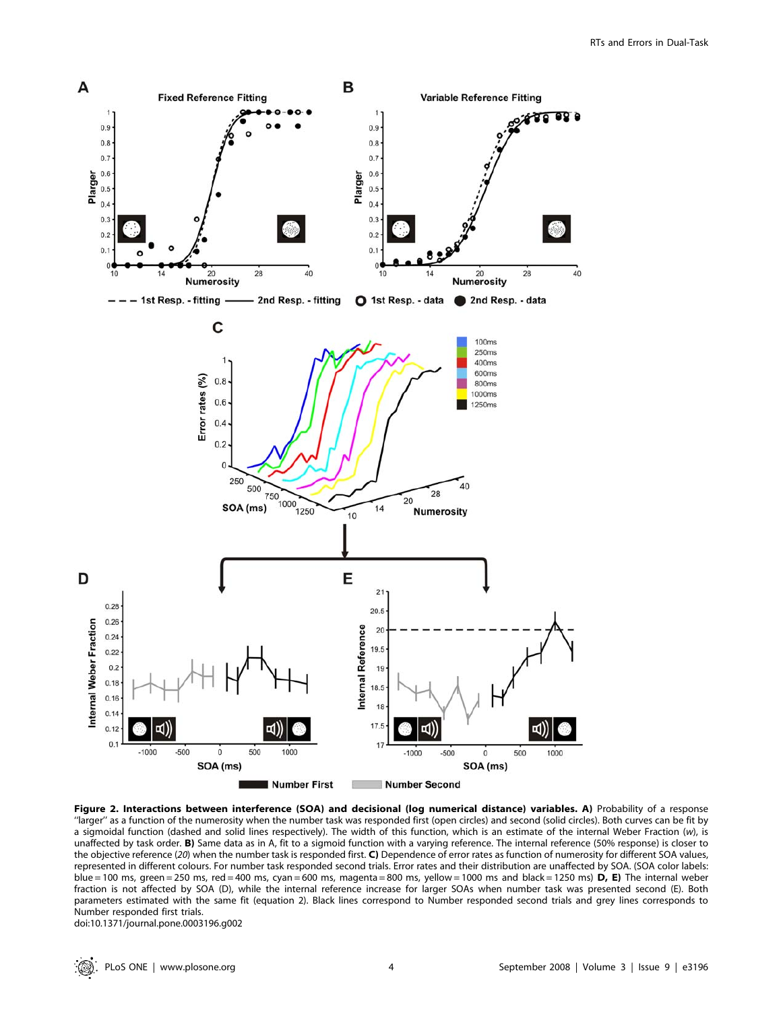

Figure 2. Interactions between interference (SOA) and decisional (log numerical distance) variables. A) Probability of a response ''larger'' as a function of the numerosity when the number task was responded first (open circles) and second (solid circles). Both curves can be fit by a sigmoidal function (dashed and solid lines respectively). The width of this function, which is an estimate of the internal Weber Fraction (w), is unaffected by task order. B) Same data as in A, fit to a sigmoid function with a varying reference. The internal reference (50% response) is closer to the objective reference (20) when the number task is responded first.  $C$ ) Dependence of error rates as function of numerosity for different SOA values, represented in different colours. For number task responded second trials. Error rates and their distribution are unaffected by SOA. (SOA color labels: blue = 100 ms, green = 250 ms, red = 400 ms, cyan = 600 ms, magenta = 800 ms, yellow = 1000 ms and black = 1250 ms) D, E) The internal weber fraction is not affected by SOA (D), while the internal reference increase for larger SOAs when number task was presented second (E). Both parameters estimated with the same fit (equation 2). Black lines correspond to Number responded second trials and grey lines corresponds to Number responded first trials.

doi:10.1371/journal.pone.0003196.g002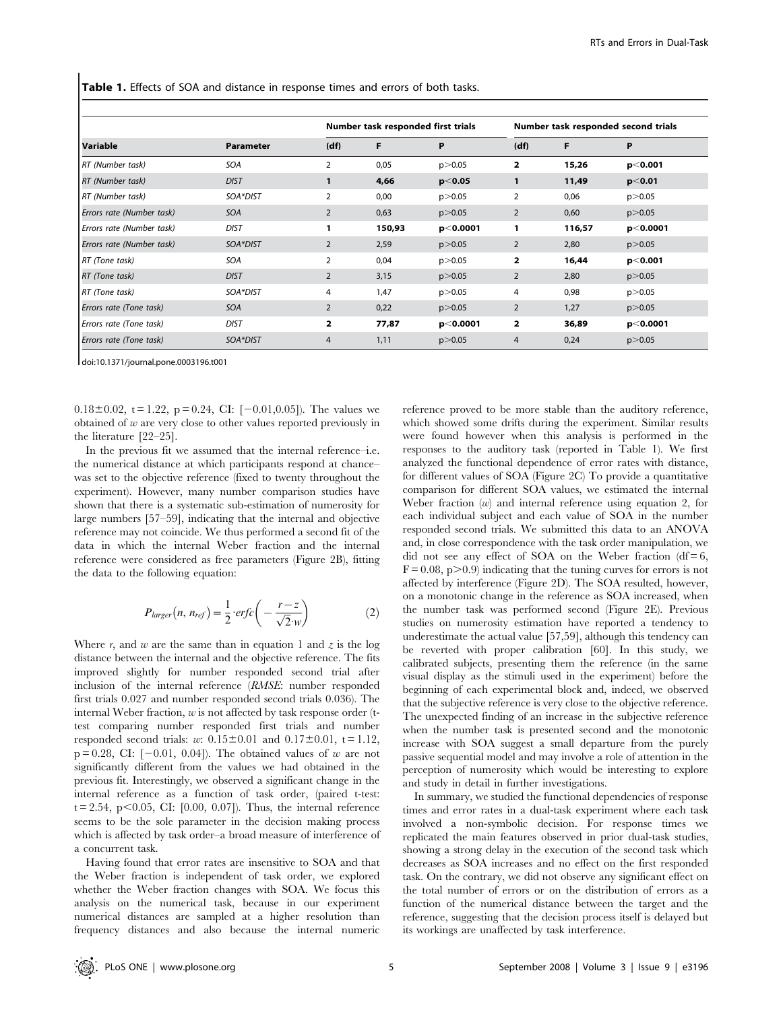Table 1. Effects of SOA and distance in response times and errors of both tasks.

| Variable                  | Parameter   | Number task responded first trials |        |           | Number task responded second trials |        |            |
|---------------------------|-------------|------------------------------------|--------|-----------|-------------------------------------|--------|------------|
|                           |             | (df)                               | F      | P         | (df)                                | F      | P          |
| RT (Number task)          | <b>SOA</b>  | $\overline{2}$                     | 0,05   | p > 0.05  | $\overline{2}$                      | 15,26  | p < 0.001  |
| RT (Number task)          | <b>DIST</b> |                                    | 4,66   | p< 0.05   | 1                                   | 11,49  | $p<$ 0.01  |
| RT (Number task)          | SOA*DIST    | 2                                  | 0,00   | p > 0.05  | 2                                   | 0,06   | p > 0.05   |
| Errors rate (Number task) | <b>SOA</b>  | $\overline{2}$                     | 0,63   | p > 0.05  | 2                                   | 0,60   | p > 0.05   |
| Errors rate (Number task) | <b>DIST</b> | 1                                  | 150,93 | p< 0.0001 | 1                                   | 116,57 | p < 0.0001 |
| Errors rate (Number task) | SOA*DIST    | $\overline{2}$                     | 2,59   | p > 0.05  | 2                                   | 2,80   | p > 0.05   |
| RT (Tone task)            | SOA         | $\overline{2}$                     | 0,04   | p > 0.05  | 2                                   | 16,44  | p< 0.001   |
| RT (Tone task)            | <b>DIST</b> | $\overline{2}$                     | 3,15   | p > 0.05  | $\overline{2}$                      | 2,80   | p > 0.05   |
| RT (Tone task)            | SOA*DIST    | 4                                  | 1,47   | p > 0.05  | 4                                   | 0,98   | p > 0.05   |
| Errors rate (Tone task)   | SOA         | $\overline{2}$                     | 0,22   | p > 0.05  | $\overline{2}$                      | 1,27   | p > 0.05   |
| Errors rate (Tone task)   | <b>DIST</b> | 2                                  | 77,87  | p< 0.0001 | $\overline{2}$                      | 36,89  | p < 0.0001 |
| Errors rate (Tone task)   | SOA*DIST    | $\overline{4}$                     | 1,11   | p > 0.05  | 4                                   | 0,24   | p > 0.05   |

doi:10.1371/journal.pone.0003196.t001

0.18 $\pm$ 0.02, t = 1.22, p = 0.24, CI: [-0.01,0.05]). The values we obtained of  $w$  are very close to other values reported previously in the literature [22–25].

In the previous fit we assumed that the internal reference–i.e. the numerical distance at which participants respond at chance– was set to the objective reference (fixed to twenty throughout the experiment). However, many number comparison studies have shown that there is a systematic sub-estimation of numerosity for large numbers [57–59], indicating that the internal and objective reference may not coincide. We thus performed a second fit of the data in which the internal Weber fraction and the internal reference were considered as free parameters (Figure 2B), fitting the data to the following equation:

$$
P_{larger}(n, n_{ref}) = \frac{1}{2} \cdot erfc\left(-\frac{r-z}{\sqrt{2} \cdot w}\right) \tag{2}
$$

Where r, and w are the same than in equation 1 and z is the log distance between the internal and the objective reference. The fits improved slightly for number responded second trial after inclusion of the internal reference (RMSE: number responded first trials 0.027 and number responded second trials 0.036). The internal Weber fraction,  $w$  is not affected by task response order (ttest comparing number responded first trials and number responded second trials: w:  $0.15 \pm 0.01$  and  $0.17 \pm 0.01$ , t = 1.12,  $p = 0.28$ , CI:  $[-0.01, 0.04]$ . The obtained values of w are not significantly different from the values we had obtained in the previous fit. Interestingly, we observed a significant change in the internal reference as a function of task order, (paired t-test:  $t = 2.54$ , p $< 0.05$ , CI: [0.00, 0.07]). Thus, the internal reference seems to be the sole parameter in the decision making process which is affected by task order–a broad measure of interference of a concurrent task.

Having found that error rates are insensitive to SOA and that the Weber fraction is independent of task order, we explored whether the Weber fraction changes with SOA. We focus this analysis on the numerical task, because in our experiment numerical distances are sampled at a higher resolution than frequency distances and also because the internal numeric

reference proved to be more stable than the auditory reference, which showed some drifts during the experiment. Similar results were found however when this analysis is performed in the responses to the auditory task (reported in Table 1). We first analyzed the functional dependence of error rates with distance, for different values of SOA (Figure 2C) To provide a quantitative comparison for different SOA values, we estimated the internal Weber fraction  $(w)$  and internal reference using equation 2, for each individual subject and each value of SOA in the number responded second trials. We submitted this data to an ANOVA and, in close correspondence with the task order manipulation, we did not see any effect of SOA on the Weber fraction (df =  $6$ ,  $F = 0.08$ ,  $p > 0.9$ ) indicating that the tuning curves for errors is not affected by interference (Figure 2D). The SOA resulted, however, on a monotonic change in the reference as SOA increased, when the number task was performed second (Figure 2E). Previous studies on numerosity estimation have reported a tendency to underestimate the actual value [57,59], although this tendency can be reverted with proper calibration [60]. In this study, we calibrated subjects, presenting them the reference (in the same visual display as the stimuli used in the experiment) before the beginning of each experimental block and, indeed, we observed that the subjective reference is very close to the objective reference. The unexpected finding of an increase in the subjective reference when the number task is presented second and the monotonic increase with SOA suggest a small departure from the purely passive sequential model and may involve a role of attention in the perception of numerosity which would be interesting to explore and study in detail in further investigations.

In summary, we studied the functional dependencies of response times and error rates in a dual-task experiment where each task involved a non-symbolic decision. For response times we replicated the main features observed in prior dual-task studies, showing a strong delay in the execution of the second task which decreases as SOA increases and no effect on the first responded task. On the contrary, we did not observe any significant effect on the total number of errors or on the distribution of errors as a function of the numerical distance between the target and the reference, suggesting that the decision process itself is delayed but its workings are unaffected by task interference.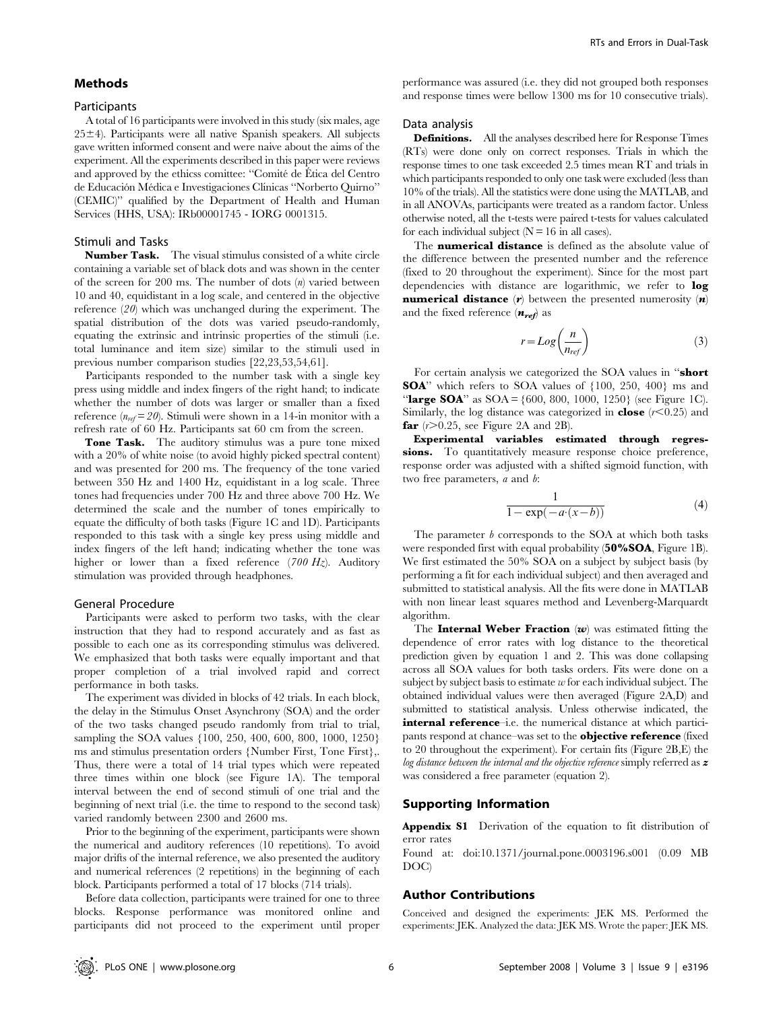### Methods

## **Participants**

A total of 16 participants were involved in this study (six males, age  $25±4$ ). Participants were all native Spanish speakers. All subjects gave written informed consent and were naive about the aims of the experiment. All the experiments described in this paper were reviews and approved by the ethicss comittee: "Comité de Ética del Centro" de Educación Médica e Investigaciones Clínicas "Norberto Quirno" (CEMIC)'' qualified by the Department of Health and Human Services (HHS, USA): IRb00001745 - IORG 0001315.

## Stimuli and Tasks

Number Task. The visual stimulus consisted of a white circle containing a variable set of black dots and was shown in the center of the screen for 200 ms. The number of dots  $(n)$  varied between 10 and 40, equidistant in a log scale, and centered in the objective reference (20) which was unchanged during the experiment. The spatial distribution of the dots was varied pseudo-randomly, equating the extrinsic and intrinsic properties of the stimuli (i.e. total luminance and item size) similar to the stimuli used in previous number comparison studies [22,23,53,54,61].

Participants responded to the number task with a single key press using middle and index fingers of the right hand; to indicate whether the number of dots was larger or smaller than a fixed reference  $(n_{ref} = 20)$ . Stimuli were shown in a 14-in monitor with a refresh rate of 60 Hz. Participants sat 60 cm from the screen.

Tone Task. The auditory stimulus was a pure tone mixed with a 20% of white noise (to avoid highly picked spectral content) and was presented for 200 ms. The frequency of the tone varied between 350 Hz and 1400 Hz, equidistant in a log scale. Three tones had frequencies under 700 Hz and three above 700 Hz. We determined the scale and the number of tones empirically to equate the difficulty of both tasks (Figure 1C and 1D). Participants responded to this task with a single key press using middle and index fingers of the left hand; indicating whether the tone was higher or lower than a fixed reference  $(700 \text{ Hz})$ . Auditory stimulation was provided through headphones.

#### General Procedure

Participants were asked to perform two tasks, with the clear instruction that they had to respond accurately and as fast as possible to each one as its corresponding stimulus was delivered. We emphasized that both tasks were equally important and that proper completion of a trial involved rapid and correct performance in both tasks.

The experiment was divided in blocks of 42 trials. In each block, the delay in the Stimulus Onset Asynchrony (SOA) and the order of the two tasks changed pseudo randomly from trial to trial, sampling the SOA values {100, 250, 400, 600, 800, 1000, 1250} ms and stimulus presentation orders {Number First, Tone First},. Thus, there were a total of 14 trial types which were repeated three times within one block (see Figure 1A). The temporal interval between the end of second stimuli of one trial and the beginning of next trial (i.e. the time to respond to the second task) varied randomly between 2300 and 2600 ms.

Prior to the beginning of the experiment, participants were shown the numerical and auditory references (10 repetitions). To avoid major drifts of the internal reference, we also presented the auditory and numerical references (2 repetitions) in the beginning of each block. Participants performed a total of 17 blocks (714 trials).

Before data collection, participants were trained for one to three blocks. Response performance was monitored online and participants did not proceed to the experiment until proper

performance was assured (i.e. they did not grouped both responses and response times were bellow 1300 ms for 10 consecutive trials).

#### Data analysis

Definitions. All the analyses described here for Response Times (RTs) were done only on correct responses. Trials in which the response times to one task exceeded 2.5 times mean RT and trials in which participants responded to only one task were excluded (less than 10% of the trials). All the statistics were done using the MATLAB, and in all ANOVAs, participants were treated as a random factor. Unless otherwise noted, all the t-tests were paired t-tests for values calculated for each individual subject  $(N = 16$  in all cases).

The **numerical distance** is defined as the absolute value of the difference between the presented number and the reference (fixed to 20 throughout the experiment). Since for the most part dependencies with distance are logarithmic, we refer to log **numerical distance**  $(r)$  between the presented numerosity  $(n)$ and the fixed reference  $(n_{ref})$  as

$$
r = Log\left(\frac{n}{n_{ref}}\right) \tag{3}
$$

For certain analysis we categorized the SOA values in "short SOA'' which refers to SOA values of {100, 250, 400} ms and "large SOA" as  $SOA = \{600, 800, 1000, 1250\}$  (see Figure 1C). Similarly, the log distance was categorized in **close**  $(r<0.25)$  and **far**  $(r>0.25$ , see Figure 2A and 2B).

Experimental variables estimated through regressions. To quantitatively measure response choice preference, response order was adjusted with a shifted sigmoid function, with two free parameters, a and b:

$$
\frac{1}{1 - \exp(-a \cdot (x - b))}
$$
\n(4)

The parameter  $b$  corresponds to the SOA at which both tasks were responded first with equal probability (50%SOA, Figure 1B). We first estimated the 50% SOA on a subject by subject basis (by performing a fit for each individual subject) and then averaged and submitted to statistical analysis. All the fits were done in MATLAB with non linear least squares method and Levenberg-Marquardt algorithm.

The **Internal Weber Fraction**  $(w)$  was estimated fitting the dependence of error rates with log distance to the theoretical prediction given by equation 1 and 2. This was done collapsing across all SOA values for both tasks orders. Fits were done on a subject by subject basis to estimate  $w$  for each individual subject. The obtained individual values were then averaged (Figure 2A,D) and submitted to statistical analysis. Unless otherwise indicated, the internal reference–i.e. the numerical distance at which participants respond at chance–was set to the **objective reference** (fixed to 20 throughout the experiment). For certain fits (Figure 2B,E) the log distance between the internal and the objective reference simply referred as  $z$ was considered a free parameter (equation 2).

### Supporting Information

Appendix S1 Derivation of the equation to fit distribution of error rates

Found at: doi:10.1371/journal.pone.0003196.s001 (0.09 MB DOC)

#### Author Contributions

Conceived and designed the experiments: JEK MS. Performed the experiments: JEK. Analyzed the data: JEK MS. Wrote the paper: JEK MS.